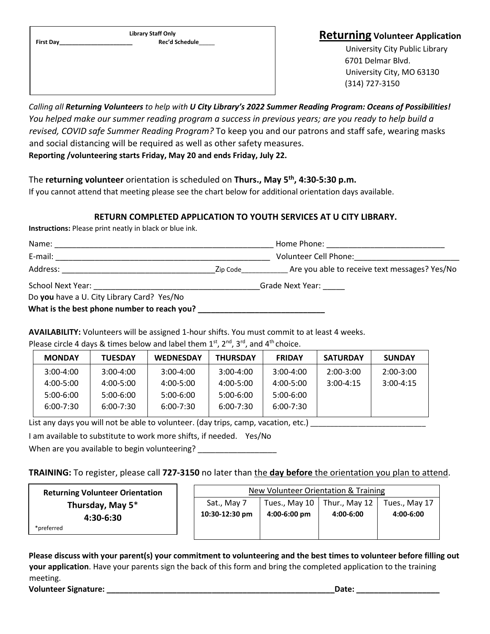**Library Staff Only First Day\_\_\_\_\_\_\_\_\_\_\_\_\_\_\_\_\_\_\_\_\_\_\_ Rec'd Schedule**\_\_\_\_\_

## **Returning Volunteer Application**

University City Public Library 6701 Delmar Blvd. University City, MO 63130 (314) 727-3150

*Calling all Returning Volunteers to help with U City Library's 2022 Summer Reading Program: Oceans of Possibilities! You helped make our summer reading program a success in previous years; are you ready to help build a revised, COVID safe Summer Reading Program?* To keep you and our patrons and staff safe, wearing masks and social distancing will be required as well as other safety measures. **Reporting /volunteering starts Friday, May 20 and ends Friday, July 22.**

The **returning volunteer** orientation is scheduled on **Thurs., May 5 th, 4:30-5:30 p.m.** If you cannot attend that meeting please see the chart below for additional orientation days available.

## **RETURN COMPLETED APPLICATION TO YOUTH SERVICES AT U CITY LIBRARY.**

**Instructions:** Please print neatly in black or blue ink.

| Name:                                       |          | Home Phone:                                   |
|---------------------------------------------|----------|-----------------------------------------------|
| E-mail:                                     |          | Volunteer Cell Phone:                         |
| Address:                                    | Zip Code | Are you able to receive text messages? Yes/No |
| School Next Year:                           |          | Grade Next Year:                              |
| Do you have a U. City Library Card? Yes/No  |          |                                               |
| What is the best phone number to reach you? |          |                                               |

**AVAILABILITY:** Volunteers will be assigned 1-hour shifts. You must commit to at least 4 weeks.

|  |  |  |  |  | Please circle 4 days & times below and label them $1^{st}$ , $2^{nd}$ , $3^{rd}$ , and $4^{th}$ choice. |
|--|--|--|--|--|---------------------------------------------------------------------------------------------------------|
|--|--|--|--|--|---------------------------------------------------------------------------------------------------------|

| <b>MONDAY</b> | <b>TUESDAY</b> | <b>WEDNESDAY</b> | <b>THURSDAY</b> | <b>FRIDAY</b> | <b>SATURDAY</b> | <b>SUNDAY</b> |
|---------------|----------------|------------------|-----------------|---------------|-----------------|---------------|
| $3:00 - 4:00$ | $3:00 - 4:00$  | $3:00 - 4:00$    | $3:00 - 4:00$   | $3:00-4:00$   | $2:00-3:00$     | $2:00 - 3:00$ |
| 4:00-5:00     | 4:00-5:00      | 4:00-5:00        | 4:00-5:00       | 4:00-5:00     | $3:00-4:15$     | $3:00-4:15$   |
| $5:00-6:00$   | 5:00-6:00      | 5:00-6:00        | 5:00-6:00       | 5:00-6:00     |                 |               |
| $6:00 - 7:30$ | $6:00 - 7:30$  | $6:00 - 7:30$    | 6:00-7:30       | $6:00 - 7:30$ |                 |               |

List any days you will not be able to volunteer. (day trips, camp, vacation, etc.) \_\_\_\_\_\_\_\_\_\_\_\_\_\_\_\_\_\_\_\_\_\_\_\_\_\_\_

I am available to substitute to work more shifts, if needed. Yes/No

When are you available to begin volunteering?

**TRAINING:** To register, please call 727-3150 no later than the day before the orientation you plan to attend.

| <b>Returning Volunteer Orientation</b> |  | New Volunteer Orientation & Training |               |               |               |
|----------------------------------------|--|--------------------------------------|---------------|---------------|---------------|
| Thursday, May 5*<br>4:30-6:30          |  | Sat., May 7                          | Tues., May 10 | Thur., May 12 | Tues., May 17 |
|                                        |  | 10:30-12:30 pm                       | 4:00-6:00 pm  | 4:00-6:00     | 4:00-6:00     |
| *preferred                             |  |                                      |               |               |               |
|                                        |  |                                      |               |               |               |

**Please discuss with your parent(s) your commitment to volunteering and the best times to volunteer before filling out your application**. Have your parents sign the back of this form and bring the completed application to the training meeting.

**Volunteer Signature: \_\_\_\_\_\_\_\_\_\_\_\_\_\_\_\_\_\_\_\_\_\_\_\_\_\_\_\_\_\_\_\_\_\_\_\_\_\_\_\_\_\_\_\_\_\_\_\_\_\_\_\_Date: \_\_\_\_\_\_\_\_\_\_\_\_\_\_\_\_\_\_\_**